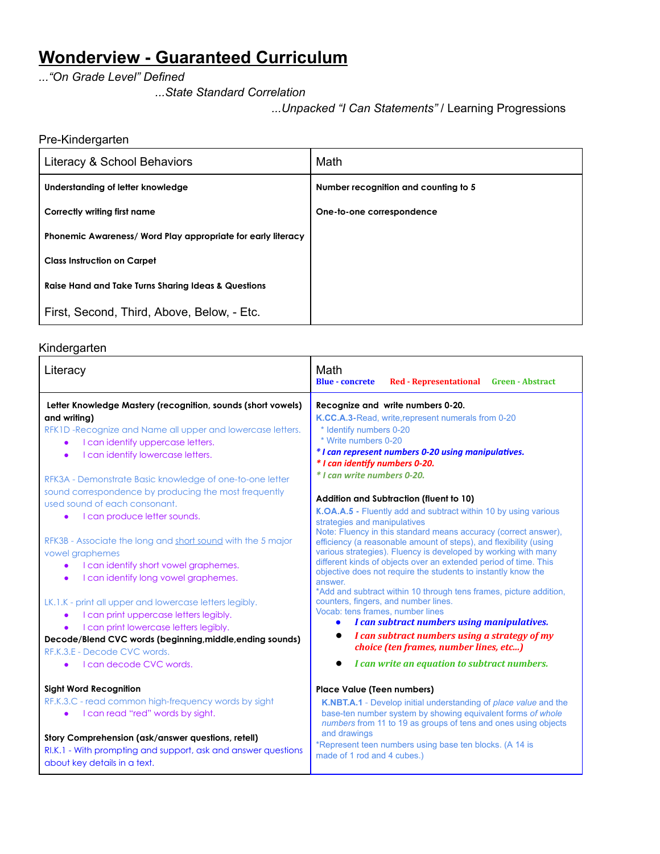# **Wonderview - Guaranteed Curriculum**

*..."On Grade Level" Defined*

*...State Standard Correlation*

*...Unpacked "I Can Statements"* / Learning Progressions

# Pre-Kindergarten

| Literacy & School Behaviors                                  | Math                                 |
|--------------------------------------------------------------|--------------------------------------|
| Understanding of letter knowledge                            | Number recognition and counting to 5 |
| Correctly writing first name                                 | One-to-one correspondence            |
| Phonemic Awareness/ Word Play appropriate for early literacy |                                      |
| <b>Class Instruction on Carpet</b>                           |                                      |
| Raise Hand and Take Turns Sharing Ideas & Questions          |                                      |
| First, Second, Third, Above, Below, - Etc.                   |                                      |

# Kindergarten

| Literacy                                                                                                                                                                                                                                                                                                                                                                                                                            | Math<br><b>Blue - concrete</b><br>Red - Representational Green - Abstract                                                                                                                                                                                                                                                                                                                                                                                                           |
|-------------------------------------------------------------------------------------------------------------------------------------------------------------------------------------------------------------------------------------------------------------------------------------------------------------------------------------------------------------------------------------------------------------------------------------|-------------------------------------------------------------------------------------------------------------------------------------------------------------------------------------------------------------------------------------------------------------------------------------------------------------------------------------------------------------------------------------------------------------------------------------------------------------------------------------|
| Letter Knowledge Mastery (recognition, sounds (short vowels)<br>and writing)<br>RFK1D-Recognize and Name all upper and lowercase letters.<br>I can identify uppercase letters.<br>I can identify lowercase letters.<br>$\bullet$<br>RFK3A - Demonstrate Basic knowledge of one-to-one letter<br>sound correspondence by producing the most frequently<br>used sound of each consonant.<br>I can produce letter sounds.<br>$\bullet$ | Recognize and write numbers 0-20.<br>K.CC.A.3-Read, write, represent numerals from 0-20<br>* Identify numbers 0-20<br>* Write numbers 0-20<br>* I can represent numbers 0-20 using manipulatives.<br>* I can identify numbers 0-20.<br>* I can write numbers 0-20.<br>Addition and Subtraction (fluent to 10)<br>K.OA.A.5 - Fluently add and subtract within 10 by using various<br>strategies and manipulatives<br>Note: Fluency in this standard means accuracy (correct answer), |
| RFK3B - Associate the long and short sound with the 5 major<br>vowel graphemes<br>I can identify short vowel graphemes.<br>$\bullet$<br>I can identify long vowel graphemes.<br>$\bullet$                                                                                                                                                                                                                                           | efficiency (a reasonable amount of steps), and flexibility (using<br>various strategies). Fluency is developed by working with many<br>different kinds of objects over an extended period of time. This<br>objective does not require the students to instantly know the<br>answer.<br>*Add and subtract within 10 through tens frames, picture addition,                                                                                                                           |
| LK.1.K - print all upper and lowercase letters legibly.<br>I can print uppercase letters legibly.<br>$\bullet$<br>I can print lowercase letters legibly.<br>$\bullet$<br>Decode/Blend CVC words (beginning, middle, ending sounds)<br>RF.K.3.E - Decode CVC words.<br>Loan decode CVC words.                                                                                                                                        | counters, fingers, and number lines.<br>Vocab: tens frames, number lines<br>I can subtract numbers using manipulatives.<br>$\bullet$<br>I can subtract numbers using a strategy of my<br>choice (ten frames, number lines, etc)<br>I can write an equation to subtract numbers.                                                                                                                                                                                                     |
| <b>Sight Word Recognition</b>                                                                                                                                                                                                                                                                                                                                                                                                       | <b>Place Value (Teen numbers)</b>                                                                                                                                                                                                                                                                                                                                                                                                                                                   |
| RF.K.3.C - read common high-frequency words by sight<br>I can read "red" words by sight.                                                                                                                                                                                                                                                                                                                                            | K.NBT.A.1 - Develop initial understanding of place value and the<br>base-ten number system by showing equivalent forms of whole<br>numbers from 11 to 19 as groups of tens and ones using objects                                                                                                                                                                                                                                                                                   |
| Story Comprehension (ask/answer questions, retell)<br>RI.K.1 - With prompting and support, ask and answer questions<br>about key details in a text.                                                                                                                                                                                                                                                                                 | and drawings<br>*Represent teen numbers using base ten blocks. (A 14 is<br>made of 1 rod and 4 cubes.)                                                                                                                                                                                                                                                                                                                                                                              |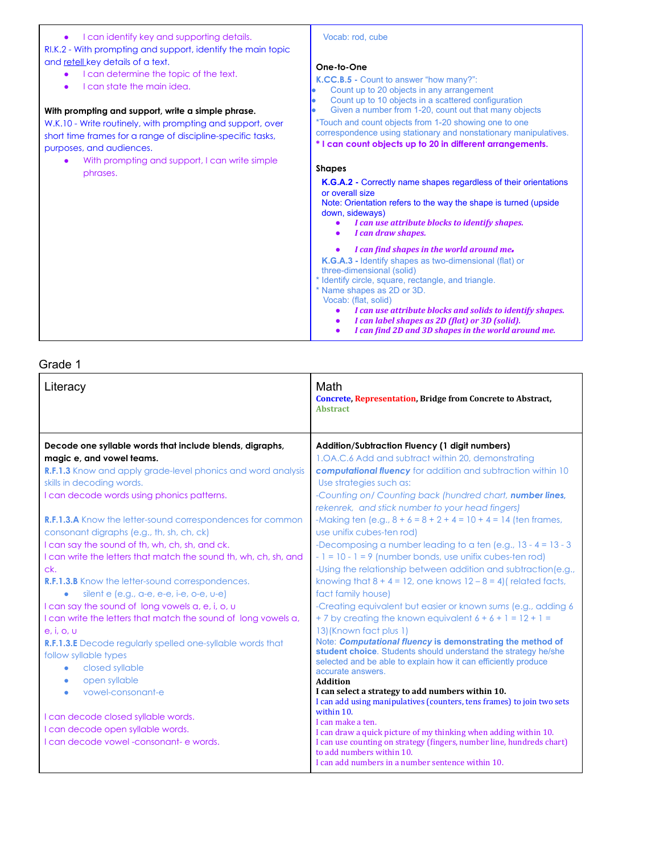# ● I can identify key and supporting details.

RI.K.2 - With prompting and support, identify the main topic and retell key details of a text.

- I can determine the topic of the text.
- I can state the main idea.

#### **With prompting and support, write a simple phrase.**

W.K.10 - Write routinely, with prompting and support, over short time frames for a range of discipline-specific tasks, purposes, and audiences.

With prompting and support, I can write simple phrases.

#### Vocab: rod, cube

#### **One-to-One**

**K.CC.B.5 -** Count to answer "how many?":

- Count up to 20 objects in any arrangement
- Count up to 10 objects in a scattered configuration
- Given a number from 1-20, count out that many objects

\*Touch and count objects from 1-20 showing one to one

correspondence using stationary and nonstationary manipulatives. **\* I can count objects up to 20 in different arrangements.**

### **Shapes**

**K.G.A.2 -** Correctly name shapes regardless of their orientations or overall size

Note: Orientation refers to the way the shape is turned (upside down, sideways)

- *● I can use attribute blocks to identify shapes.*
- *● I can draw shapes.*

# *● <sup>I</sup> can ind shapes in the world around me.*

**K.G.A.3 -** Identify shapes as two-dimensional (flat) or three-dimensional (solid)

\* Identify circle, square, rectangle, and triangle.

\* Name shapes as 2D or 3D.

Vocab: (flat, solid)

- *● I can use attribute blocks and solids to identify shapes.*
- *● I can label shapes as 2D (lat) or 3D (solid).*
- *● I can ind 2D and 3D shapes in the world around me.*

| Literacy                                                                                                                                                                                                                                                                                                                                                | Math<br><b>Concrete, Representation, Bridge from Concrete to Abstract,</b><br><b>Abstract</b>                                                                                                                                                                                                                                                                                                                                                                                                                                   |
|---------------------------------------------------------------------------------------------------------------------------------------------------------------------------------------------------------------------------------------------------------------------------------------------------------------------------------------------------------|---------------------------------------------------------------------------------------------------------------------------------------------------------------------------------------------------------------------------------------------------------------------------------------------------------------------------------------------------------------------------------------------------------------------------------------------------------------------------------------------------------------------------------|
| Decode one syllable words that include blends, digraphs,<br>magic e, and vowel teams.<br><b>R.F.1.3</b> Know and apply grade-level phonics and word analysis<br>skills in decoding words.<br>I can decode words using phonics patterns.                                                                                                                 | <b>Addition/Subtraction Fluency (1 digit numbers)</b><br>1.0A.C.6 Add and subtract within 20, demonstrating<br>computational fluency for addition and subtraction within 10<br>Use strategies such as:<br>-Counting on/ Counting back (hundred chart, number lines,<br>rekenrek, and stick number to your head fingers)                                                                                                                                                                                                         |
| <b>R.F.1.3.A</b> Know the letter-sound correspondences for common<br>consonant digraphs (e.g., th, sh, ch, ck)<br>I can say the sound of th, wh, ch, sh, and ck.<br>I can write the letters that match the sound th, wh, ch, sh, and<br>ck.<br><b>R.F.1.3.B</b> Know the letter-sound correspondences.<br>silent $e$ (e.g., a-e, e-e, i-e, o-e, $u-e$ ) | -Making ten (e.g., $8 + 6 = 8 + 2 + 4 = 10 + 4 = 14$ (ten frames,<br>use unifix cubes-ten rod)<br>-Decomposing a number leading to a ten (e.g., $13 - 4 = 13 - 3$ )<br>$-1 = 10 - 1 = 9$ (number bonds, use unifix cubes-ten rod)<br>-Using the relationship between addition and subtraction (e.g.,<br>knowing that $8 + 4 = 12$ , one knows $12 - 8 = 4$ ) related facts,<br>fact family house)                                                                                                                               |
| I can say the sound of long vowels a, e, i, o, u<br>I can write the letters that match the sound of long vowels a,<br>e, i, o, u<br><b>R.F.1.3.E</b> Decode regularly spelled one-syllable words that<br>follow syllable types<br>closed syllable<br>$\bullet$<br>open syllable<br>$\bullet$<br>vowel-consonant-e<br>$\bullet$                          | -Creating equivalent but easier or known sums (e.g., adding 6<br>+7 by creating the known equivalent $6 + 6 + 1 = 12 + 1 =$<br>13) (Known fact plus 1)<br>Note: Computational fluency is demonstrating the method of<br>student choice. Students should understand the strategy he/she<br>selected and be able to explain how it can efficiently produce<br>accurate answers.<br><b>Addition</b><br>I can select a strategy to add numbers within 10.<br>I can add using manipulatives (counters, tens frames) to join two sets |
| I can decode closed syllable words.<br>I can decode open syllable words.<br>I can decode yowel -consonant- e words.                                                                                                                                                                                                                                     | within 10.<br>I can make a ten.<br>I can draw a quick picture of my thinking when adding within 10.<br>I can use counting on strategy (fingers, number line, hundreds chart)<br>to add numbers within 10.<br>I can add numbers in a number sentence within 10.                                                                                                                                                                                                                                                                  |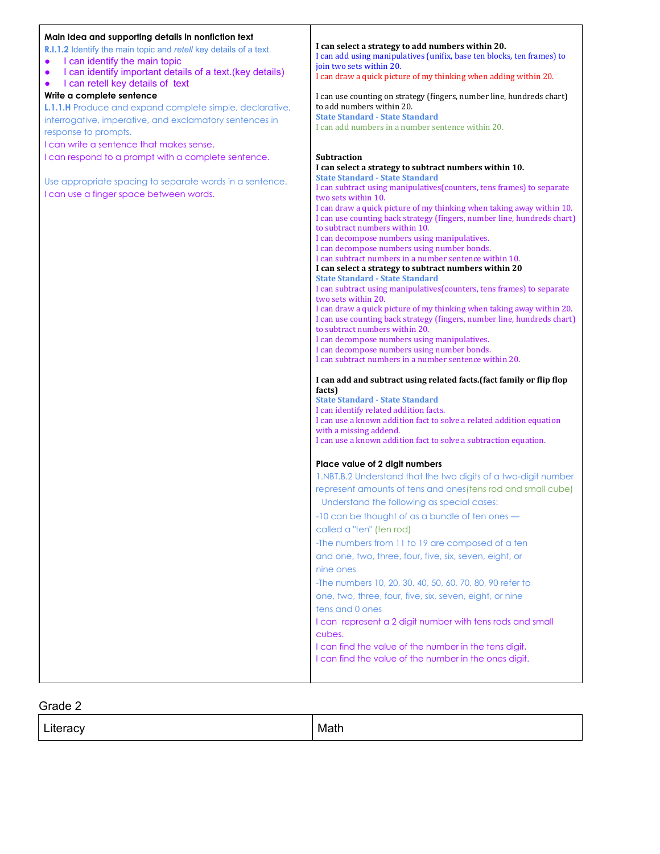#### **Main Idea and supporting details in nonfiction text R.I.1.2** Identify the main topic and *retell* key details of a text. ● I can identify the main topic ● I can identify important details of a text.(key details) I can retell key details of text **Write a complete sentence L.1.1.H** Produce and expand complete simple, declarative, interrogative, imperative, and exclamatory sentences in response to prompts. I can write a sentence that makes sense. I can respond to a prompt with a complete sentence. Use appropriate spacing to separate words in a sentence. I can use a finger space between words. **I can select a strategy to add numbers within 20.** I can add using manipulatives (unifix, base ten blocks, ten frames) to join two sets within 20. I can draw a quick picture of my thinking when adding within 20. I can use counting on strategy (fingers, number line, hundreds chart) to add numbers within 20. **State Standard - State Standard** I can add numbers in a number sentence within 20. **Subtraction I can select a strategy to subtract numbers within 10. State Standard - State Standard** I can subtract using manipulatives(counters, tens frames) to separate two sets within 10. I can draw a quick picture of my thinking when taking away within 10. I can use counting back strategy (fingers, number line, hundreds chart) to subtract numbers within 10. I can decompose numbers using manipulatives. I can decompose numbers using number bonds. I can subtract numbers in a number sentence within 10. **I can select a strategy to subtract numbers within 20 State Standard - State Standard** I can subtract using manipulatives(counters, tens frames) to separate two sets within 20. I can draw a quick picture of my thinking when taking away within 20. I can use counting back strategy (fingers, number line, hundreds chart) to subtract numbers within 20. I can decompose numbers using manipulatives. I can decompose numbers using number bonds. I can subtract numbers in a number sentence within 20. **I can add and subtract using related facts.(fact family or lip lop facts) State Standard - State Standard** I can identify related addition facts. I can use a known addition fact to solve a related addition equation with a missing addend. I can use a known addition fact to solve a subtraction equation. **Place value of 2 digit numbers** 1.NBT.B.2 Understand that the two digits of a two-digit number represent amounts of tens and ones(tens rod and small cube) Understand the following as special cases: -10 can be thought of as a bundle of ten ones called a "ten" (ten rod) -The numbers from 11 to 19 are composed of a ten and one, two, three, four, five, six, seven, eight, or nine ones -The numbers 10, 20, 30, 40, 50, 60, 70, 80, 90 refer to one, two, three, four, five, six, seven, eight, or nine tens and 0 ones I can represent a 2 digit number with tens rods and small cubes. I can find the value of the number in the tens digit, I can find the value of the number in the ones digit.

| $\cdot$ $\mathbf{v}$<br><b>LIQUO</b> | Math |
|--------------------------------------|------|
|                                      |      |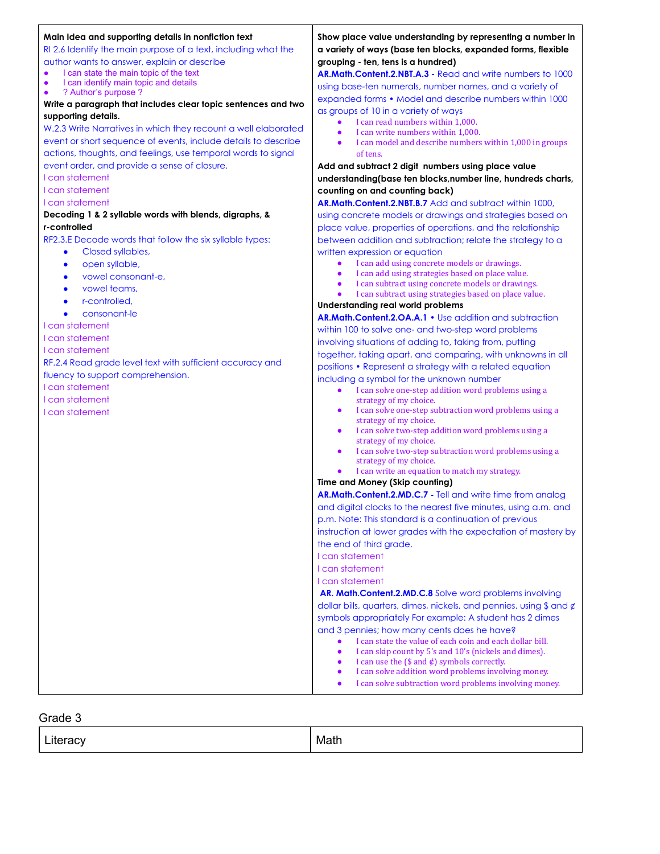#### **Main Idea and supporting details in nonfiction text**

RI 2.6 Identify the main purpose of a text, including what the author wants to answer, explain or describe

- I can state the main topic of the text
- I can identify main topic and details
- ? Author's purpose ?

**Write a paragraph that includes clear topic sentences and two supporting details.**

W.2.3 Write Narratives in which they recount a well elaborated event or short sequence of events, include details to describe actions, thoughts, and feelings, use temporal words to signal event order, and provide a sense of closure.

I can statement

I can statement

I can statement

#### **Decoding 1 & 2 syllable words with blends, digraphs, & r-controlled**

RF2.3.E Decode words that follow the six syllable types:

- Closed syllables,
- open syllable,
- vowel consonant-e,
- vowel teams,
- r-controlled.
- consonant-le

I can statement

I can statement

I can statement

RF.2.4 Read grade level text with sufficient accuracy and fluency to support comprehension.

I can statement

I can statement

I can statement

# **Show place value understanding by representing a number in a variety of ways (base ten blocks, expanded forms, flexible grouping - ten, tens is a hundred)**

**AR.Math.Content.2.NBT.A.3 -** Read and write numbers to 1000 using base-ten numerals, number names, and a variety of expanded forms • Model and describe numbers within 1000 as groups of 10 in a variety of ways

- I can read numbers within 1,000.
- I can write numbers within 1,000.
- I can model and describe numbers within 1,000 in groups of tens.

**Add and subtract 2 digit numbers using place value understanding(base ten blocks,number line, hundreds charts, counting on and counting back)**

**AR.Math.Content.2.NBT.B.7** Add and subtract within 1000, using concrete models or drawings and strategies based on place value, properties of operations, and the relationship between addition and subtraction; relate the strategy to a written expression or equation

- I can add using concrete models or drawings.
- I can add using strategies based on place value.
- I can subtract using concrete models or drawings.
- I can subtract using strategies based on place value.

**Understanding real world problems**

**AR.Math.Content.2.OA.A.1** • Use addition and subtraction within 100 to solve one- and two-step word problems involving situations of adding to, taking from, putting together, taking apart, and comparing, with unknowns in all positions • Represent a strategy with a related equation including a symbol for the unknown number

- I can solve one-step addition word problems using a strategy of my choice.
- I can solve one-step subtraction word problems using a strategy of my choice.
- I can solve two-step addition word problems using a strategy of my choice.
- I can solve two-step subtraction word problems using a strategy of my choice.
- I can write an equation to match my strategy.

## **Time and Money (Skip counting)**

**AR.Math.Content.2.MD.C.7 -** Tell and write time from analog and digital clocks to the nearest five minutes, using a.m. and p.m. Note: This standard is a continuation of previous instruction at lower grades with the expectation of mastery by the end of third grade.

I can statement

- I can statement
- I can statement

**AR. Math.Content.2.MD.C.8** Solve word problems involving dollar bills, quarters, dimes, nickels, and pennies, using \$ and ¢ symbols appropriately For example: A student has 2 dimes and 3 pennies; how many cents does he have?

- I can state the value of each coin and each dollar bill.
- I can skip count by 5's and 10's (nickels and dimes).
- I can use the (\$ and  $\phi$ ) symbols correctly.
- I can solve addition word problems involving money.
- I can solve subtraction word problems involving money.

| 21<br>. V | Mat<br>. |
|-----------|----------|
|-----------|----------|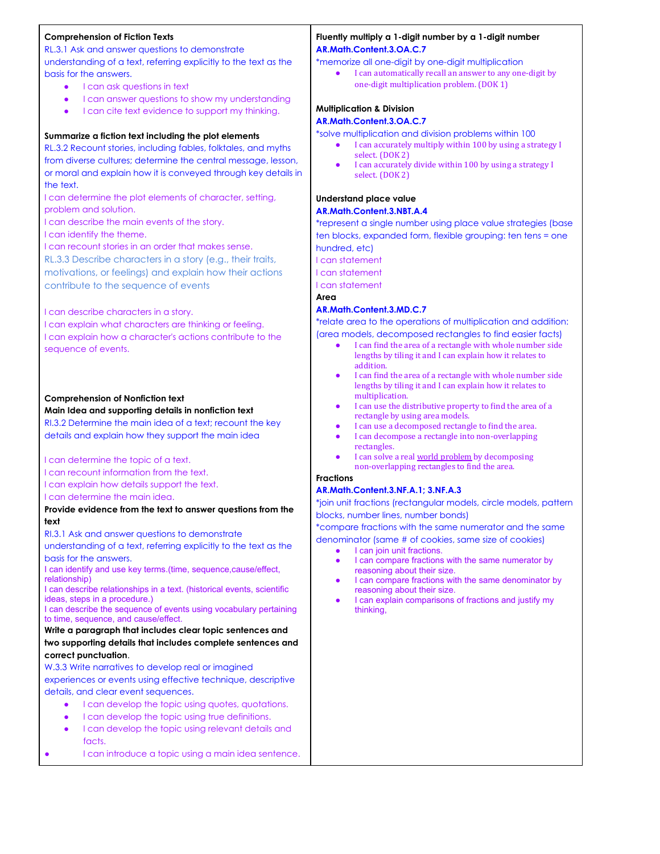# **Comprehension of Fiction Texts**

RL.3.1 Ask and answer questions to demonstrate understanding of a text, referring explicitly to the text as the basis for the answers.

- I can ask questions in text
- I can answer questions to show my understanding
- I can cite text evidence to support my thinking.

#### **Summarize a fiction text including the plot elements**

RL.3.2 Recount stories, including fables, folktales, and myths from diverse cultures; determine the central message, lesson, or moral and explain how it is conveyed through key details in the text.

I can determine the plot elements of character, setting, problem and solution.

I can describe the main events of the story.

I can identify the theme.

I can recount stories in an order that makes sense.

RL.3.3 Describe characters in a story (e.g., their traits, motivations, or feelings) and explain how their actions contribute to the sequence of events

#### I can describe characters in a story.

I can explain what characters are thinking or feeling. I can explain how a character's actions contribute to the sequence of events.

# **Comprehension of Nonfiction text**

### **Main Idea and supporting details in nonfiction text**

RI.3.2 Determine the main idea of a text; recount the key details and explain how they support the main idea

#### I can determine the topic of a text.

I can recount information from the text.

I can explain how details support the text.

I can determine the main idea.

# **Provide evidence from the text to answer questions from the text**

RI.3.1 Ask and answer questions to demonstrate

understanding of a text, referring explicitly to the text as the basis for the answers.

I can identify and use key terms.(time, sequence,cause/effect, relationship)

I can describe relationships in a text. (historical events, scientific ideas, steps in a procedure.)

I can describe the sequence of events using vocabulary pertaining to time, sequence, and cause/effect.

### **Write a paragraph that includes clear topic sentences and two supporting details that includes complete sentences and correct punctuation**.

W.3.3 Write narratives to develop real or imagined experiences or events using effective technique, descriptive details, and clear event sequences.

- I can develop the topic using quotes, quotations.
- I can develop the topic using true definitions.
- I can develop the topic using relevant details and facts.
- I can introduce a topic using a main idea sentence.

## **Fluently multiply a 1-digit number by a 1-digit number AR.Math.Content.3.OA.C.7**

\*memorize all one-digit by one-digit multiplication

● I can automatically recall an answer to any one-digit by one-digit multiplication problem. (DOK 1)

# **Multiplication & Division**

## **AR.Math.Content.3.OA.C.7**

\*solve multiplication and division problems within 100

- I can accurately multiply within 100 by using a strategy I select. (DOK 2)
- I can accurately divide within 100 by using a strategy I select. (DOK 2)

# **Understand place value**

### **AR.Math.Content.3.NBT.A.4**

\*represent a single number using place value strategies (base ten blocks, expanded form, flexible grouping: ten tens = one hundred, etc)

I can statement

I can statement

I can statement

### **Area**

# **AR.Math.Content.3.MD.C.7**

\*relate area to the operations of multiplication and addition: (area models, decomposed rectangles to find easier facts)

- I can find the area of a rectangle with whole number side lengths by tiling it and I can explain how it relates to addition.
- I can find the area of a rectangle with whole number side lengths by tiling it and I can explain how it relates to multiplication.
- I can use the distributive property to find the area of a rectangle by using area models.
- I can use a decomposed rectangle to find the area.
- I can decompose a rectangle into non-overlapping rectangles.
- I can solve a real world [problem](https://learnzillion.com/lesson_plans/534-find-area-of-complex-shapes-without-tiling-by-decomposing-them-into-non-overlapping-rectangles/?card=11635) by decomposing non-overlapping rectangles to find the area.

### **Fractions**

#### **AR.Math.Content.3.NF.A.1; 3.NF.A.3**

\*join unit fractions (rectangular models, circle models, pattern blocks, number lines, number bonds)

\*compare fractions with the same numerator and the same denominator (same # of cookies, same size of cookies)

I can join unit fractions.

- I can compare fractions with the same numerator by reasoning about their size.
- I can compare fractions with the same denominator by reasoning about their size.
- I can explain comparisons of fractions and justify my thinking,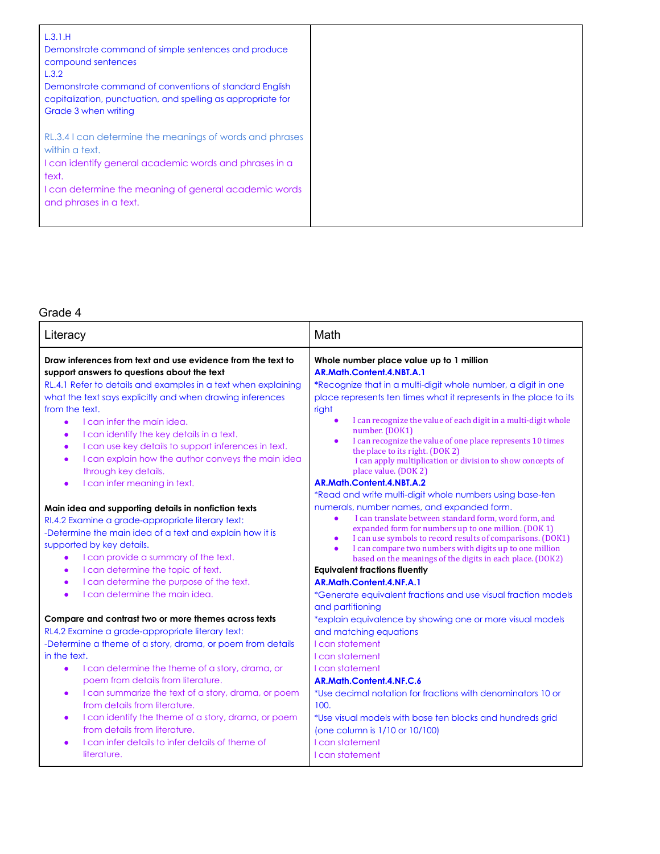| L.3.1.H<br>Demonstrate command of simple sentences and produce<br>compound sentences<br>L.3.2<br>Demonstrate command of conventions of standard English<br>capitalization, punctuation, and spelling as appropriate for<br>Grade 3 when writing |  |
|-------------------------------------------------------------------------------------------------------------------------------------------------------------------------------------------------------------------------------------------------|--|
| RL.3.4 I can determine the meanings of words and phrases<br>within a text.<br>I can identify general academic words and phrases in a                                                                                                            |  |
| text.<br>I can determine the meaning of general academic words<br>and phrases in a text.                                                                                                                                                        |  |

| Literacy                                                                                                                                                                                                                                                                                                                                                                                                                                                                                                                                                                               | Math                                                                                                                                                                                                                                                                                                                                                                                                                                                                                                             |
|----------------------------------------------------------------------------------------------------------------------------------------------------------------------------------------------------------------------------------------------------------------------------------------------------------------------------------------------------------------------------------------------------------------------------------------------------------------------------------------------------------------------------------------------------------------------------------------|------------------------------------------------------------------------------------------------------------------------------------------------------------------------------------------------------------------------------------------------------------------------------------------------------------------------------------------------------------------------------------------------------------------------------------------------------------------------------------------------------------------|
| Draw inferences from text and use evidence from the text to<br>support answers to questions about the text<br>RL.4.1 Refer to details and examples in a text when explaining<br>what the text says explicitly and when drawing inferences<br>from the text.<br>I can infer the main idea.<br>$\bullet$<br>I can identify the key details in a text.<br>$\bullet$<br>I can use key details to support inferences in text.<br>$\bullet$<br>I can explain how the author conveys the main idea<br>$\bullet$<br>through key details.                                                       | Whole number place value up to 1 million<br>AR.Math.Content.4.NBT.A.1<br>*Recognize that in a multi-digit whole number, a digit in one<br>place represents ten times what it represents in the place to its<br>right<br>I can recognize the value of each digit in a multi-digit whole<br>number. (DOK1)<br>I can recognize the value of one place represents 10 times<br>the place to its right. (DOK 2)<br>I can apply multiplication or division to show concepts of<br>place value. (DOK 2)                  |
| I can infer meaning in text.<br>$\bullet$                                                                                                                                                                                                                                                                                                                                                                                                                                                                                                                                              | AR.Math.Content.4.NBT.A.2                                                                                                                                                                                                                                                                                                                                                                                                                                                                                        |
|                                                                                                                                                                                                                                                                                                                                                                                                                                                                                                                                                                                        | *Read and write multi-digit whole numbers using base-ten                                                                                                                                                                                                                                                                                                                                                                                                                                                         |
| Main idea and supporting details in nonfiction texts<br>RI.4.2 Examine a grade-appropriate literary text:<br>-Determine the main idea of a text and explain how it is<br>supported by key details.<br>I can provide a summary of the text.<br>$\bullet$<br>I can determine the topic of text.<br>$\bullet$<br>I can determine the purpose of the text.<br>$\bullet$<br>I can determine the main idea.<br>$\bullet$                                                                                                                                                                     | numerals, number names, and expanded form.<br>I can translate between standard form, word form, and<br>$\bullet$<br>expanded form for numbers up to one million. (DOK 1)<br>I can use symbols to record results of comparisons. (DOK1)<br>I can compare two numbers with digits up to one million<br>$\bullet$<br>based on the meanings of the digits in each place. (DOK2)<br><b>Equivalent fractions fluently</b><br>AR.Math.Content.4.NF.A.1<br>*Generate equivalent fractions and use visual fraction models |
|                                                                                                                                                                                                                                                                                                                                                                                                                                                                                                                                                                                        | and partitioning                                                                                                                                                                                                                                                                                                                                                                                                                                                                                                 |
| Compare and contrast two or more themes across texts<br>RL4.2 Examine a grade-appropriate literary text:<br>-Determine a theme of a story, drama, or poem from details<br>in the text.<br>I can determine the theme of a story, drama, or<br>$\bullet$<br>poem from details from literature.<br>I can summarize the text of a story, drama, or poem<br>$\bullet$<br>from details from literature.<br>I can identify the theme of a story, drama, or poem<br>$\bullet$<br>from details from literature.<br>I can infer details to infer details of theme of<br>$\bullet$<br>literature. | *explain equivalence by showing one or more visual models<br>and matching equations<br>I can statement<br><b>Lcan statement</b><br>I can statement<br>AR.Math.Content.4.NF.C.6<br>*Use decimal notation for fractions with denominators 10 or<br>100.<br>*Use visual models with base ten blocks and hundreds grid<br>(one column is 1/10 or 10/100)<br><b>I</b> can statement<br>I can statement                                                                                                                |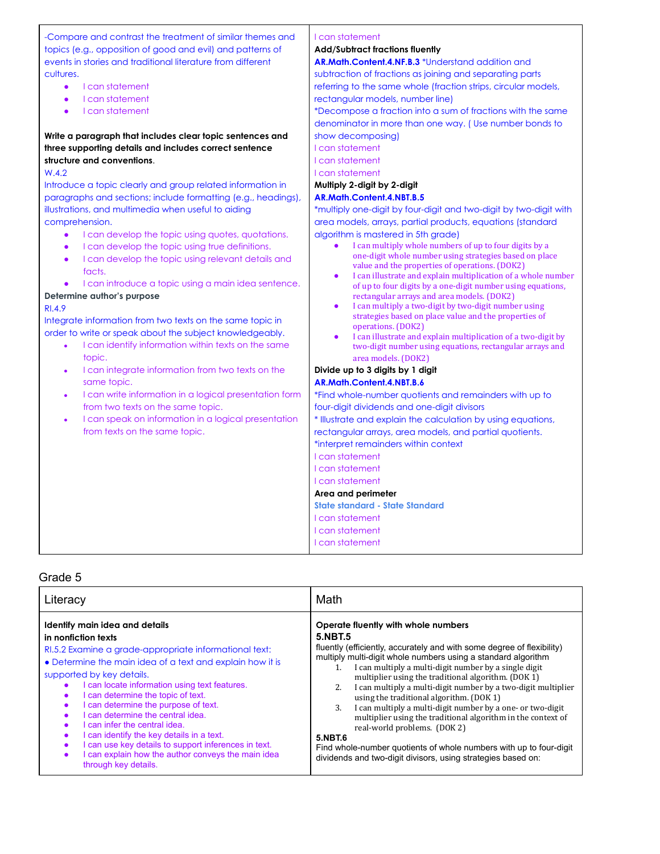-Compare and contrast the treatment of similar themes and topics (e.g., opposition of good and evil) and patterns of events in stories and traditional literature from different cultures.

- I can statement
- I can statement
- I can statement

**Write a paragraph that includes clear topic sentences and three supporting details and includes correct sentence structure and conventions**.

#### W.4.2

Introduce a topic clearly and group related information in paragraphs and sections; include formatting (e.g., headings), illustrations, and multimedia when useful to aiding comprehension.

- I can develop the topic using quotes, quotations.
- I can develop the topic using true definitions.
- I can develop the topic using relevant details and facts
- I can introduce a topic using a main idea sentence.

#### **Determine author's purpose**

#### RI.4.9

Integrate information from two texts on the same topic in order to write or speak about the subject knowledgeably.

- I can identify information within texts on the same topic.
- I can integrate information from two texts on the same topic.
- I can write information in a logical presentation form from two texts on the same topic.
- I can speak on information in a logical presentation from texts on the same topic.

#### I can statement

#### **Add/Subtract fractions fluently**

**AR.Math.Content.4.NF.B.3** \*Understand addition and

subtraction of fractions as joining and separating parts referring to the same whole (fraction strips, circular models, rectangular models, number line)

\*Decompose a fraction into a sum of fractions with the same denominator in more than one way. ( Use number bonds to show decomposing)

I can statement

I can statement

I can statement

#### **Multiply 2-digit by 2-digit AR.Math.Content.4.NBT.B.5**

\*multiply one-digit by four-digit and two-digit by two-digit with area models, arrays, partial products, equations (standard algorithm is mastered in 5th grade)

- I can multiply whole numbers of up to four digits by a one-digit whole number using strategies based on place value and the properties of operations. (DOK2)
- I can illustrate and explain multiplication of a whole number of up to four digits by a one-digit number using equations, rectangular arrays and area models. (DOK2)
- I can multiply a two-digit by two-digit number using strategies based on place value and the properties of operations. (DOK2)
- I can illustrate and explain multiplication of a two-digit by two-digit number using equations, rectangular arrays and area models. (DOK2)

### **Divide up to 3 digits by 1 digit AR.Math.Content.4.NBT.B.6**

\*Find whole-number quotients and remainders with up to four-digit dividends and one-digit divisors

\* Illustrate and explain the calculation by using equations, rectangular arrays, area models, and partial quotients.

\*interpret remainders within context

- I can statement
- I can statement I can statement

# **Area and perimeter**

**State standard - State Standard**

I can statement

I can statement

I can statement

| Literacy                                                  | Math                                                                   |
|-----------------------------------------------------------|------------------------------------------------------------------------|
| Identify main idea and details                            | Operate fluently with whole numbers                                    |
| in nonfiction texts                                       | <b>5.NBT.5</b>                                                         |
| RI.5.2 Examine a grade-appropriate informational text:    | fluently (efficiently, accurately and with some degree of flexibility) |
| • Determine the main idea of a text and explain how it is | multiply multi-digit whole numbers using a standard algorithm          |
| supported by key details.                                 | I can multiply a multi-digit number by a single digit                  |
| I can locate information using text features.             | multiplier using the traditional algorithm. (DOK 1)                    |
| I can determine the topic of text.                        | I can multiply a multi-digit number by a two-digit multiplier          |
| $\bullet$                                                 | 2.                                                                     |
| I can determine the purpose of text.                      | using the traditional algorithm. (DOK 1)                               |
| $\bullet$                                                 | I can multiply a multi-digit number by a one- or two-digit             |
| I can determine the central idea.                         | 3.                                                                     |
| I can infer the central idea.                             | multiplier using the traditional algorithm in the context of           |
| I can identify the key details in a text.                 | real-world problems. (DOK 2)                                           |
| I can use key details to support inferences in text.      | <b>5.NBT.6</b>                                                         |
| I can explain how the author conveys the main idea        | Find whole-number quotients of whole numbers with up to four-digit     |
| through key details.                                      | dividends and two-digit divisors, using strategies based on:           |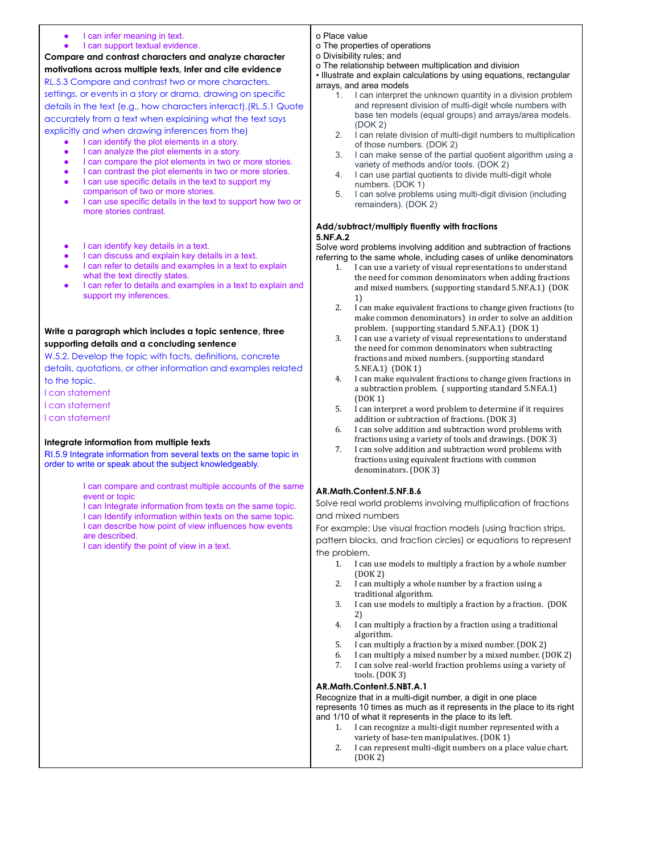- I can infer meaning in text.
- I can support textual evidence.

**Compare and contrast characters and analyze character motivations across multiple texts, Infer and cite evidence** RL.5.3 Compare and contrast two or more characters,

settings, or events in a story or drama, drawing on specific details in the text (e.g., how characters interact).(RL.5.1 Quote accurately from a text when explaining what the text says explicitly and when drawing inferences from the)

- I can identify the plot elements in a story.
	- I can analyze the plot elements in a story.
	- I can compare the plot elements in two or more stories.
	- I can contrast the plot elements in two or more stories.
	- I can use specific details in the text to support my comparison of two or more stories.
	- I can use specific details in the text to support how two or more stories contrast.
	- I can identify key details in a text.
	- I can discuss and explain key details in a text.
	- I can refer to details and examples in a text to explain what the text directly states.
	- I can refer to details and examples in a text to explain and support my inferences.

### **Write a paragraph which includes a topic sentence, three supporting details and a concluding sentence**

W.5.2. Develop the topic with facts, definitions, concrete details, quotations, or other information and examples related to the topic.

I can statement

I can statement

I can statement

#### **Integrate information from multiple texts**

RI.5.9 Integrate information from several texts on the same topic in order to write or speak about the subject knowledgeably.

> I can compare and contrast multiple accounts of the same event or topic

I can Integrate information from texts on the same topic. I can Identify information within texts on the same topic. I can describe how point of view influences how events are described.

I can identify the point of view in a text.

#### o Place value

- o The properties of operations
- o Divisibility rules; and

o The relationship between multiplication and division

• Illustrate and explain calculations by using equations, rectangular arrays, and area models

- 1. I can interpret the unknown quantity in a division problem and represent division of multi-digit whole numbers with base ten models (equal groups) and arrays/area models. (DOK 2)
- 2. I can relate division of multi-digit numbers to multiplication of those numbers. (DOK 2)
- 3. I can make sense of the partial quotient algorithm using a variety of methods and/or tools. (DOK 2)
- 4. I can use partial quotients to divide multi-digit whole numbers. (DOK 1)
- 5. I can solve problems using multi-digit division (including remainders). (DOK 2)

#### **Add/subtract/multiply fluently with fractions 5.NF.A.2**

Solve word problems involving addition and subtraction of fractions referring to the same whole, including cases of unlike denominators

- 1. I can use a variety of visual representations to understand the need for common denominators when adding fractions and mixed numbers. (supporting standard 5.NF.A.1) (DOK 1)
- 2. I can make equivalent fractions to change given fractions (to make common denominators) in order to solve an addition problem. (supporting standard 5.NF.A.1) (DOK 1)
- 3. I can use a variety of visual representations to understand the need for common denominators when subtracting fractions and mixed numbers. (supporting standard 5.NF.A.1) (DOK 1)
- 4. I can make equivalent fractions to change given fractions in a subtraction problem. ( supporting standard 5.NF.A.1) (DOK 1)
- 5. I can interpret a word problem to determine if it requires addition or subtraction of fractions. (DOK 3)
- 6. I can solve addition and subtraction word problems with fractions using a variety of tools and drawings. (DOK 3)
- 7. I can solve addition and subtraction word problems with fractions using equivalent fractions with common denominators. (DOK 3)

#### **AR.Math.Content.5.NF.B.6**

Solve real world problems involving multiplication of fractions and mixed numbers

For example: Use visual fraction models (using fraction strips, pattern blocks, and fraction circles) or equations to represent the problem.

- 1. I can use models to multiply a fraction by a whole number (DOK 2)
- 2. I can multiply a whole number by a fraction using a traditional algorithm.
- 3. I can use models to multiply a fraction by a fraction. (DOK 2)
- 4. I can multiply a fraction by a fraction using a traditional algorithm.
- 5. I can multiply a fraction by a mixed number. (DOK 2)
- 6. I can multiply a mixed number by a mixed number. (DOK 2)
- 7. I can solve real-world fraction problems using a variety of tools. (DOK 3)

### **AR.Math.Content.5.NBT.A.1**

Recognize that in a multi-digit number, a digit in one place represents 10 times as much as it represents in the place to its right and 1/10 of what it represents in the place to its left.

- 1. I can recognize a multi-digit number represented with a variety of base-ten manipulatives. (DOK 1)
- 2. I can represent multi-digit numbers on a place value chart. (DOK 2)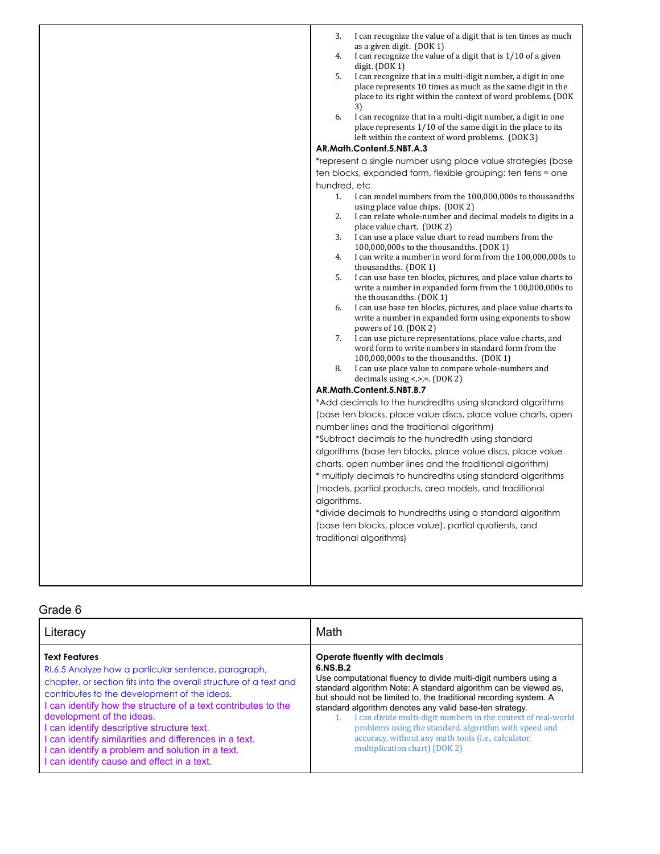| 3.<br>I can recognize the value of a digit that is ten times as much<br>as a given digit. (DOK 1)<br>I can recognize the value of a digit that is 1/10 of a given<br>4.<br>digit. $(DOK 1)$<br>I can recognize that in a multi-digit number, a digit in one<br>5.<br>place represents 10 times as much as the same digit in the<br>place to its right within the context of word problems. (DOK<br>3)<br>6.<br>I can recognize that in a multi-digit number, a digit in one<br>place represents 1/10 of the same digit in the place to its<br>left within the context of word problems. (DOK 3)<br>AR.Math.Content.5.NBT.A.3<br>*represent a single number using place value strategies (base<br>ten blocks, expanded form, flexible grouping: ten tens = one<br>hundred, etc<br>I can model numbers from the 100,000,000s to thousandths<br>1 <sup>1</sup><br>using place value chips. (DOK 2)<br>I can relate whole-number and decimal models to digits in a<br>2.<br>place value chart. (DOK 2)<br>I can use a place value chart to read numbers from the<br>3.<br>100,000,000s to the thousandths. (DOK 1)<br>I can write a number in word form from the 100,000,000s to<br>4.<br>thousandths. (DOK 1)<br>5.<br>I can use base ten blocks, pictures, and place value charts to<br>write a number in expanded form from the 100,000,000s to<br>the thousandths. (DOK 1)<br>I can use base ten blocks, pictures, and place value charts to<br>6.<br>write a number in expanded form using exponents to show<br>powers of 10. (DOK 2)<br>I can use picture representations, place value charts, and<br>7.<br>word form to write numbers in standard form from the<br>100,000,000s to the thousandths. (DOK 1)<br>I can use place value to compare whole-numbers and<br>8.<br>decimals using < $\ge$ , = (DOK 2)<br>AR.Math.Content.5.NBT.B.7<br>*Add decimals to the hundredths using standard algorithms<br>(base ten blocks, place value discs, place value charts, open<br>number lines and the traditional algorithm)<br>*Subtract decimals to the hundredth using standard<br>algorithms (base ten blocks, place value discs, place value |
|-------------------------------------------------------------------------------------------------------------------------------------------------------------------------------------------------------------------------------------------------------------------------------------------------------------------------------------------------------------------------------------------------------------------------------------------------------------------------------------------------------------------------------------------------------------------------------------------------------------------------------------------------------------------------------------------------------------------------------------------------------------------------------------------------------------------------------------------------------------------------------------------------------------------------------------------------------------------------------------------------------------------------------------------------------------------------------------------------------------------------------------------------------------------------------------------------------------------------------------------------------------------------------------------------------------------------------------------------------------------------------------------------------------------------------------------------------------------------------------------------------------------------------------------------------------------------------------------------------------------------------------------------------------------------------------------------------------------------------------------------------------------------------------------------------------------------------------------------------------------------------------------------------------------------------------------------------------------------------------------------------------------------------------------------------------------------------------------------------------------------------------------------|
| charts, open number lines and the traditional algorithm)<br>* multiply decimals to hundredths using standard algorithms<br>(models, partial products, area models, and traditional<br>algorithms.<br>*divide decimals to hundredths using a standard algorithm<br>(base ten blocks, place value), partial quotients, and                                                                                                                                                                                                                                                                                                                                                                                                                                                                                                                                                                                                                                                                                                                                                                                                                                                                                                                                                                                                                                                                                                                                                                                                                                                                                                                                                                                                                                                                                                                                                                                                                                                                                                                                                                                                                        |
| traditional algorithms)                                                                                                                                                                                                                                                                                                                                                                                                                                                                                                                                                                                                                                                                                                                                                                                                                                                                                                                                                                                                                                                                                                                                                                                                                                                                                                                                                                                                                                                                                                                                                                                                                                                                                                                                                                                                                                                                                                                                                                                                                                                                                                                         |

| Literacy                                                          | Math                                                              |
|-------------------------------------------------------------------|-------------------------------------------------------------------|
| <b>Text Features</b>                                              | Operate fluently with decimals                                    |
| RI.6.5 Analyze how a particular sentence, paragraph,              | 6.NS.B.2                                                          |
| chapter, or section fits into the overall structure of a text and | Use computational fluency to divide multi-digit numbers using a   |
| contributes to the development of the ideas.                      | standard algorithm Note: A standard algorithm can be viewed as,   |
| I can identify how the structure of a text contributes to the     | but should not be limited to, the traditional recording system. A |
| development of the ideas.                                         | standard algorithm denotes any valid base-ten strategy.           |
| I can identify descriptive structure text.                        | I can divide multi-digit numbers in the context of real-world     |
| I can identify similarities and differences in a text.            | problems using the standard, algorithm with speed and             |
| I can identify a problem and solution in a text.                  | accuracy, without any math tools (i.e., calculator,               |
| I can identify cause and effect in a text.                        | multiplication chart) (DOK 2)                                     |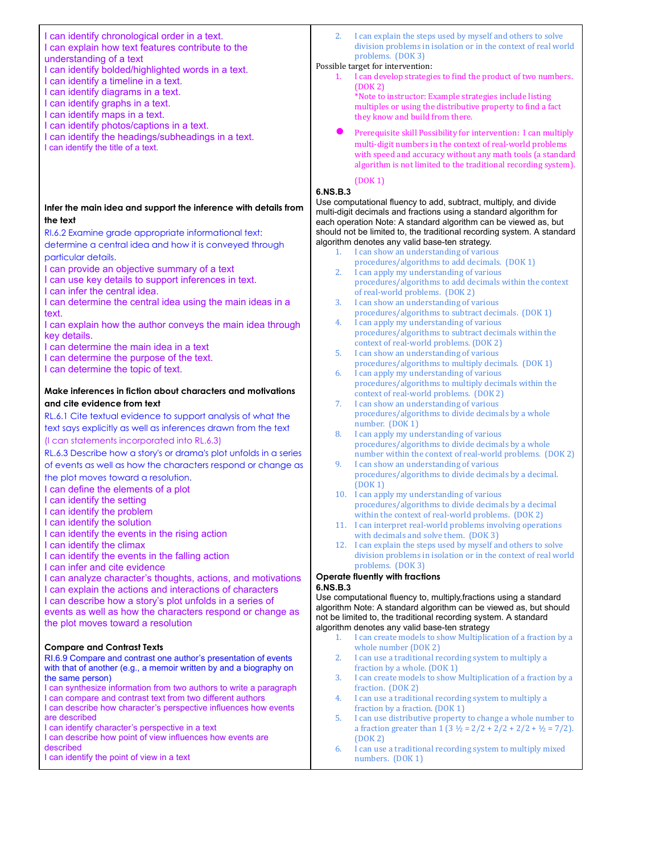I can identify chronological order in a text. I can explain how text features contribute to the understanding of a text I can identify bolded/highlighted words in a text. I can identify a timeline in a text. I can identify diagrams in a text. I can identify graphs in a text. I can identify maps in a text. I can identify photos/captions in a text.

- I can identify the headings/subheadings in a text.
- I can identify the title of a text.

# **Infer the main idea and support the inference with details from the text**

RI.6.2 Examine grade appropriate informational text: determine a central idea and how it is conveyed through

particular details. I can provide an objective summary of a text

I can use key details to support inferences in text.

I can infer the central idea.

I can determine the central idea using the main ideas in a text.

I can explain how the author conveys the main idea through key details.

I can determine the main idea in a text

I can determine the purpose of the text.

I can determine the topic of text.

# **Make inferences in fiction about characters and motivations and cite evidence from text**

RL.6.1 Cite textual evidence to support analysis of what the text says explicitly as well as inferences drawn from the text (I can statements incorporated into RL.6.3)

RL.6.3 Describe how a story's or drama's plot unfolds in a series of events as well as how the characters respond or change as the plot moves toward a resolution.

I can define the elements of a plot

I can identify the setting

I can identify the problem

I can identify the solution

I can identify the events in the rising action

I can identify the climax

I can identify the events in the falling action

I can infer and cite evidence

I can analyze character's thoughts, actions, and motivations I can explain the actions and interactions of characters I can describe how a story's plot unfolds in a series of events as well as how the characters respond or change as the plot moves toward a resolution

# **Compare and Contrast Texts**

RI.6.9 Compare and contrast one author's presentation of events with that of another (e.g., a memoir written by and a biography on the same person)

I can synthesize information from two authors to write a paragraph I can compare and contrast text from two different authors

I can describe how character's perspective influences how events are described

I can identify character's perspective in a text

I can describe how point of view influences how events are described

I can identify the point of view in a text

2. I can explain the steps used by myself and others to solve division problems in isolation or in the context of real world problems. (DOK 3)

#### Possible target for intervention:

I can develop strategies to find the product of two numbers. (DOK 2)

\*Note to instructor: Example strategies include listing multiples or using the distributive property to find a fact they know and build from there.

Prerequisite skill Possibility for intervention: I can multiply multi-digit numbers in the context of real-world problems with speed and accuracy without any math tools (a standard algorithm is not limited to the traditional recording system).

#### (DOK 1) **6.NS.B.3**

Use computational fluency to add, subtract, multiply, and divide multi-digit decimals and fractions using a standard algorithm for each operation Note: A standard algorithm can be viewed as, but should not be limited to, the traditional recording system. A standard algorithm denotes any valid base-ten strategy.

- 1. I can show an understanding of various
- procedures/algorithms to add decimals. (DOK 1) 2. I can apply my understanding of various
- procedures/algorithms to add decimals within the context of real-world problems. (DOK 2)
- 3. I can show an understanding of various procedures/algorithms to subtract decimals. (DOK 1)
- 4. I can apply my understanding of various procedures/algorithms to subtract decimals within the context of real-world problems. (DOK 2)
- 5. I can show an understanding of various procedures/algorithms to multiply decimals. (DOK 1)
- 6. I can apply my understanding of various procedures/algorithms to multiply decimals within the context of real-world problems. (DOK 2)
- 7. I can show an understanding of various procedures/algorithms to divide decimals by a whole number. (DOK 1)
- 8. I can apply my understanding of various procedures/algorithms to divide decimals by a whole number within the context of real-world problems. (DOK 2)
- 9. I can show an understanding of various procedures/algorithms to divide decimals by a decimal. (DOK 1)
- 10. I can apply my understanding of various procedures/algorithms to divide decimals by a decimal within the context of real-world problems. (DOK 2)
- 11. I can interpret real-world problems involving operations with decimals and solve them. (DOK 3)
- 12. I can explain the steps used by myself and others to solve division problems in isolation or in the context of real world problems. (DOK 3)

#### **Operate fluently with fractions 6.NS.B.3**

Use computational fluency to, multiply,fractions using a standard algorithm Note: A standard algorithm can be viewed as, but should not be limited to, the traditional recording system. A standard algorithm denotes any valid base-ten strategy

- 1. I can create models to show Multiplication of a fraction by a whole number (DOK 2)
- 2. I can use a traditional recording system to multiply a fraction by a whole. (DOK 1)
- 3. I can create models to show Multiplication of a fraction by a fraction. (DOK 2)
- 4. I can use a traditional recording system to multiply a fraction by a fraction. (DOK 1)
- 5. I can use distributive property to change a whole number to a fraction greater than  $1$  ( $3 \frac{1}{2} = \frac{2}{2} + \frac{2}{2} + \frac{2}{2} + \frac{1}{2} = \frac{7}{2}$ ). (DOK 2)
- 6. I can use a traditional recording system to multiply mixed numbers. (DOK 1)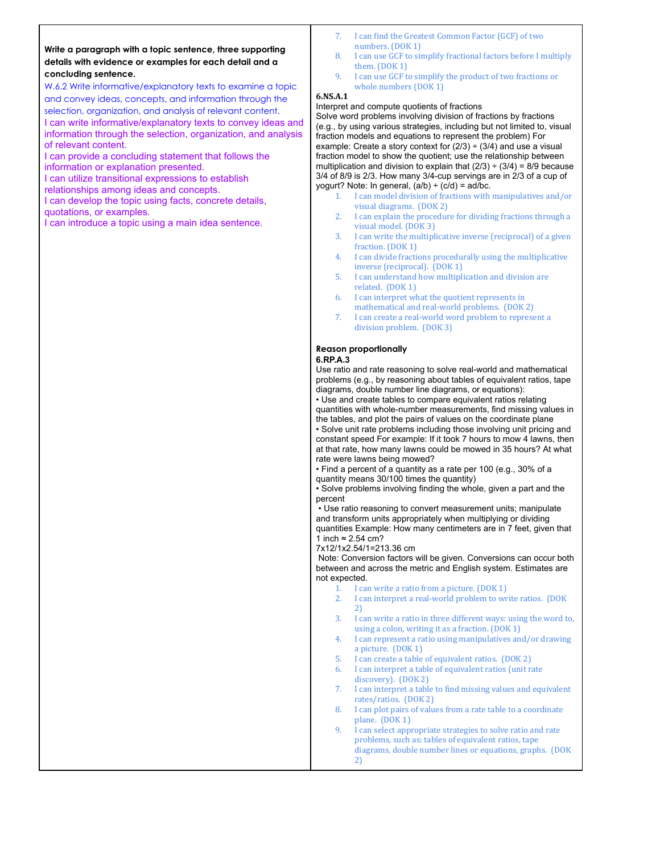#### **Write a paragraph with a topic sentence, three supporting details with evidence or examples for each detail and a concluding sentence.**

W.6.2 Write informative/explanatory texts to examine a topic and convey ideas, concepts, and information through the selection, organization, and analysis of relevant content. I can write informative/explanatory texts to convey ideas and information through the selection, organization, and analysis of relevant content.

I can provide a concluding statement that follows the information or explanation presented.

I can utilize transitional expressions to establish

relationships among ideas and concepts.

I can develop the topic using facts, concrete details, quotations, or examples.

I can introduce a topic using a main idea sentence.

- 7. I can find the Greatest Common Factor (GCF) of two numbers. (DOK 1)
- 8. I can use GCF to simplify fractional factors before I multiply them. (DOK 1)
- 9. I can use GCF to simplify the product of two fractions or whole numbers (DOK 1)

# **6.NS.A.1**

#### Interpret and compute quotients of fractions

Solve word problems involving division of fractions by fractions (e.g., by using various strategies, including but not limited to, visual fraction models and equations to represent the problem) For example: Create a story context for  $(2/3) \div (3/4)$  and use a visual fraction model to show the quotient; use the relationship between multiplication and division to explain that  $(2/3) \div (3/4) = 8/9$  because 3/4 of 8/9 is 2/3. How many 3/4-cup servings are in 2/3 of a cup of yogurt? Note: In general,  $(a/b) \div (c/d) = ad/bc$ .

- 1. I can model division of fractions with manipulatives and/or visual diagrams. (DOK 2)
- 2. I can explain the procedure for dividing fractions through a visual model. (DOK 3)
- 3. I can write the multiplicative inverse (reciprocal) of a given fraction. (DOK 1)
- 4. I can divide fractions procedurally using the multiplicative inverse (reciprocal). (DOK 1)
- 5. I can understand how multiplication and division are related. (DOK 1)
- 6. I can interpret what the quotient represents in mathematical and real-world problems. (DOK 2)
- 7. I can create a real-world word problem to represent a division problem. (DOK 3)

### **Reason proportionally**

#### **6.RP.A.3**

Use ratio and rate reasoning to solve real-world and mathematical problems (e.g., by reasoning about tables of equivalent ratios, tape diagrams, double number line diagrams, or equations):

• Use and create tables to compare equivalent ratios relating quantities with whole-number measurements, find missing values in the tables, and plot the pairs of values on the coordinate plane

• Solve unit rate problems including those involving unit pricing and constant speed For example: If it took 7 hours to mow 4 lawns, then at that rate, how many lawns could be mowed in 35 hours? At what rate were lawns being mowed?

• Find a percent of a quantity as a rate per 100 (e.g., 30% of a quantity means 30/100 times the quantity)

• Solve problems involving finding the whole, given a part and the percent

• Use ratio reasoning to convert measurement units; manipulate and transform units appropriately when multiplying or dividing quantities Example: How many centimeters are in 7 feet, given that 1 inch ≈ 2.54 cm?

7x12/1x2.54/1=213.36 cm

Note: Conversion factors will be given. Conversions can occur both between and across the metric and English system. Estimates are not expected.

- 1. I can write a ratio from a picture. (DOK 1)<br>2. I can interpret a real-world problem to wr
- I can interpret a real-world problem to write ratios. (DOK 2)
- 3. I can write a ratio in three different ways: using the word to, using a colon, writing it as a fraction. (DOK 1)
- 4. I can represent a ratio using manipulatives and/or drawing a picture. (DOK 1)
- 5. I can create a table of equivalent ratios. (DOK 2)
- 6. I can interpret a table of equivalent ratios (unit rate
- discovery). (DOK 2) 7. I can interpret a table to find missing values and equivalent rates/ratios. (DOK 2)
- 8. I can plot pairs of values from a rate table to a coordinate plane. (DOK 1)
- 9. I can select appropriate strategies to solve ratio and rate problems, such as: tables of equivalent ratios, tape diagrams, double number lines or equations, graphs. (DOK 2)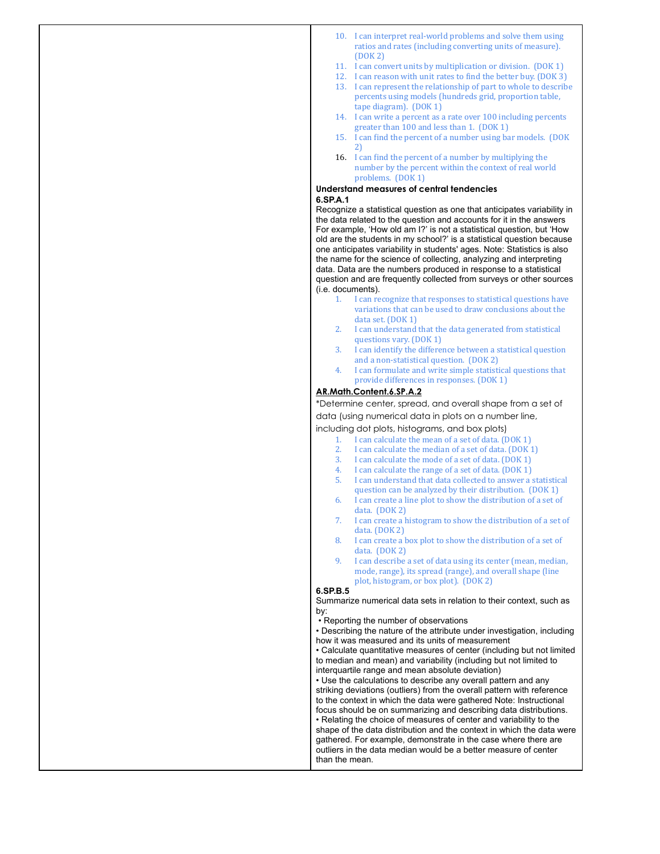- 10. I can interpret real-world problems and solve them using ratios and rates (including converting units of measure). (DOK 2)
- 11. I can convert units by multiplication or division. (DOK 1)
- 12. I can reason with unit rates to find the better buy. (DOK 3)
- 13. I can represent the relationship of part to whole to describe percents using models (hundreds grid, proportion table, tape diagram). (DOK 1)
- 14. I can write a percent as a rate over 100 including percents greater than 100 and less than 1. (DOK 1)
- 15. I can find the percent of a number using bar models. (DOK 2)
- 16. I can find the percent of a number by multiplying the number by the percent within the context of real world problems. (DOK 1)

#### **Understand measures of central tendencies 6.SP.A.1**

Recognize a statistical question as one that anticipates variability in the data related to the question and accounts for it in the answers For example, 'How old am I?' is not a statistical question, but 'How old are the students in my school?' is a statistical question because one anticipates variability in students' ages. Note: Statistics is also the name for the science of collecting, analyzing and interpreting data. Data are the numbers produced in response to a statistical question and are frequently collected from surveys or other sources (i.e. documents).

- 1. I can recognize that responses to statistical questions have variations that can be used to draw conclusions about the data set. (DOK 1)
- 2. I can understand that the data generated from statistical questions vary. (DOK 1)
- 3. I can identify the difference between a statistical question and a non-statistical question. (DOK 2)
- 4. I can formulate and write simple statistical questions that provide differences in responses. (DOK 1)

# **AR.Math.Content.6.SP.A.2**

\*Determine center, spread, and overall shape from a set of data (using numerical data in plots on a number line,

including dot plots, histograms, and box plots)

- 1. I can calculate the mean of a set of data. (DOK 1)
- I can calculate the median of a set of data. (DOK 1)
- 3. I can calculate the mode of a set of data. (DOK 1)
- 4. I can calculate the range of a set of data. (DOK 1)
- 5. I can understand that data collected to answer a statistical question can be analyzed by their distribution. (DOK 1)
- 6. I can create a line plot to show the distribution of a set of data. (DOK 2)
- 7. I can create a histogram to show the distribution of a set of data. (DOK 2)
- 8. I can create a box plot to show the distribution of a set of data. (DOK 2)
- 9. I can describe a set of data using its center (mean, median, mode, range), its spread (range), and overall shape (line plot, histogram, or box plot). (DOK 2)

### **6.SP.B.5**

Summarize numerical data sets in relation to their context, such as by:

• Reporting the number of observations

• Describing the nature of the attribute under investigation, including how it was measured and its units of measurement

• Calculate quantitative measures of center (including but not limited to median and mean) and variability (including but not limited to interquartile range and mean absolute deviation)

• Use the calculations to describe any overall pattern and any striking deviations (outliers) from the overall pattern with reference to the context in which the data were gathered Note: Instructional focus should be on summarizing and describing data distributions. • Relating the choice of measures of center and variability to the shape of the data distribution and the context in which the data were gathered. For example, demonstrate in the case where there are outliers in the data median would be a better measure of center than the mean.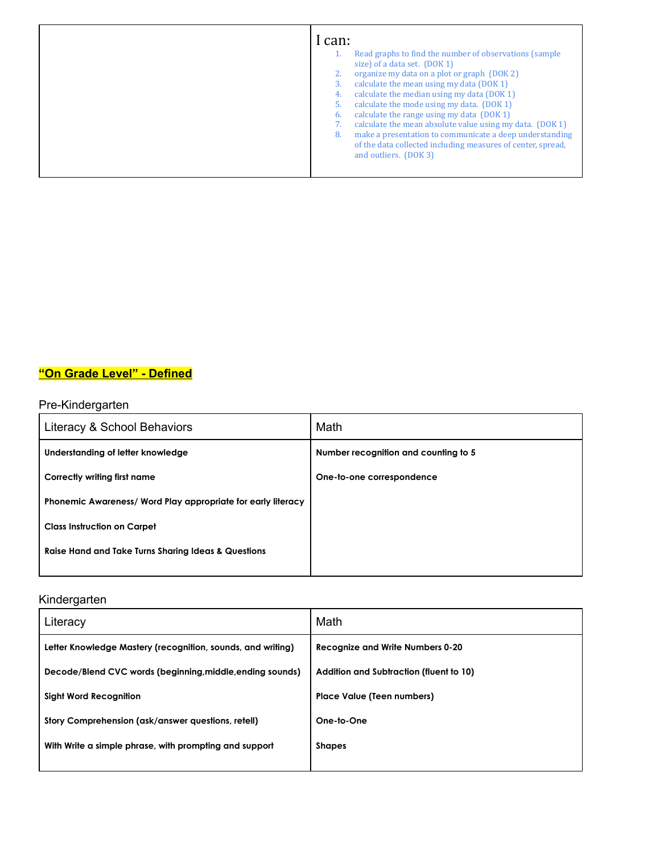| I can:<br>Read graphs to find the number of observations (sample)<br>size) of a data set. (DOK 1)                                                                                                                                           |
|---------------------------------------------------------------------------------------------------------------------------------------------------------------------------------------------------------------------------------------------|
| organize my data on a plot or graph (DOK 2)<br>calculate the mean using my data (DOK 1)<br>calculate the median using my data (DOK 1)<br>4.<br>calculate the mode using my data. (DOK 1)<br>calculate the range using my data (DOK 1)<br>6. |
| calculate the mean absolute value using my data. (DOK 1)<br>make a presentation to communicate a deep understanding<br>8.<br>of the data collected including measures of center, spread,<br>and outliers. (DOK 3)                           |

# **"On Grade Level" - Defined**

# Pre-Kindergarten

| Literacy & School Behaviors                                    | Math                                 |
|----------------------------------------------------------------|--------------------------------------|
| Understanding of letter knowledge                              | Number recognition and counting to 5 |
| Correctly writing first name                                   | One-to-one correspondence            |
| Phonemic Awareness/ Word Play appropriate for early literacy   |                                      |
| <b>Class Instruction on Carpet</b>                             |                                      |
| <b>Raise Hand and Take Turns Sharing Ideas &amp; Questions</b> |                                      |
|                                                                |                                      |

# Kindergarten

| Literacy                                                    | Math                                    |
|-------------------------------------------------------------|-----------------------------------------|
| Letter Knowledge Mastery (recognition, sounds, and writing) | <b>Recognize and Write Numbers 0-20</b> |
| Decode/Blend CVC words (beginning, middle, ending sounds)   | Addition and Subtraction (fluent to 10) |
| Sight Word Recognition                                      | <b>Place Value (Teen numbers)</b>       |
| Story Comprehension (ask/answer questions, retell)          | One-to-One                              |
| With Write a simple phrase, with prompting and support      | <b>Shapes</b>                           |
|                                                             |                                         |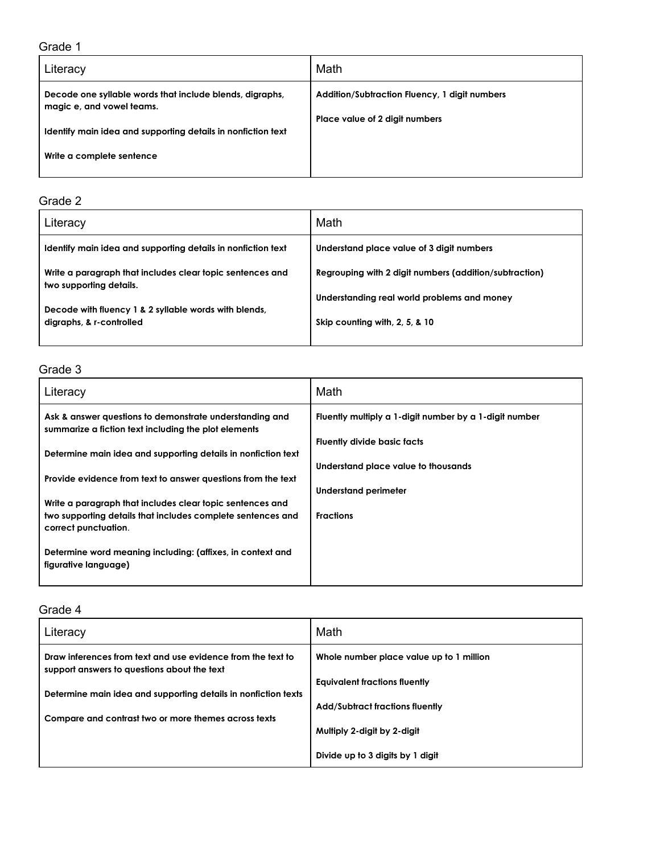| Literacy                                                                              | Math                                          |
|---------------------------------------------------------------------------------------|-----------------------------------------------|
| Decode one syllable words that include blends, digraphs,<br>magic e, and vowel teams. | Addition/Subtraction Fluency, 1 digit numbers |
| Identify main idea and supporting details in nonfiction text                          | Place value of 2 digit numbers                |
| Write a complete sentence                                                             |                                               |

# Grade 2

| Literacy                                                                             | Math                                                   |
|--------------------------------------------------------------------------------------|--------------------------------------------------------|
| Identify main idea and supporting details in nonfiction text                         | Understand place value of 3 digit numbers              |
| Write a paragraph that includes clear topic sentences and<br>two supporting details. | Regrouping with 2 digit numbers (addition/subtraction) |
| Decode with fluency 1 & 2 syllable words with blends,                                | Understanding real world problems and money            |
| digraphs, & r-controlled                                                             | Skip counting with, 2, 5, & 10                         |
|                                                                                      |                                                        |

# Grade 3

| Literacy                                                                                                        | Math                                                   |
|-----------------------------------------------------------------------------------------------------------------|--------------------------------------------------------|
| Ask & answer questions to demonstrate understanding and<br>summarize a fiction text including the plot elements | Fluently multiply a 1-digit number by a 1-digit number |
|                                                                                                                 | <b>Fluently divide basic facts</b>                     |
| Determine main idea and supporting details in nonfiction text                                                   |                                                        |
|                                                                                                                 | Understand place value to thousands                    |
| Provide evidence from text to answer questions from the text                                                    |                                                        |
| Write a paragraph that includes clear topic sentences and                                                       | Understand perimeter                                   |
| two supporting details that includes complete sentences and                                                     | <b>Fractions</b>                                       |
| correct punctuation.                                                                                            |                                                        |
|                                                                                                                 |                                                        |
| Determine word meaning including: (affixes, in context and                                                      |                                                        |
| figurative language)                                                                                            |                                                        |
|                                                                                                                 |                                                        |

| Literacy                                                                                                   | Math                                     |
|------------------------------------------------------------------------------------------------------------|------------------------------------------|
| Draw inferences from text and use evidence from the text to<br>support answers to questions about the text | Whole number place value up to 1 million |
|                                                                                                            | <b>Equivalent fractions fluently</b>     |
| Determine main idea and supporting details in nonfiction texts                                             |                                          |
|                                                                                                            | <b>Add/Subtract fractions fluently</b>   |
| Compare and contrast two or more themes across texts                                                       | Multiply 2-digit by 2-digit              |
|                                                                                                            | Divide up to 3 digits by 1 digit         |